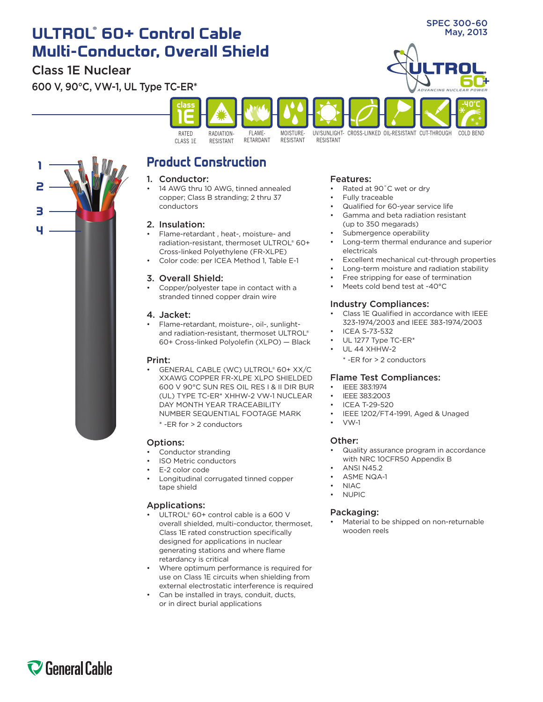# **ULTROL** May, 2013 **® 60+ Control Cable Multi-Conductor, Overall Shield**

## Class 1E Nuclear

**2**

**1**

**4**

**3**

600 V, 90°C, VW-1, UL Type TC-ER\*



## **Product Construction**

#### 1. Conductor:

14 AWG thru 10 AWG, tinned annealed copper; Class B stranding; 2 thru 37 conductors

### 2. Insulation:

- Flame-retardant, heat-, moisture- and radiation-resistant, thermoset ULTROL® 60+ Cross-linked Polyethylene (FR-XLPE)
- Color code: per ICEA Method 1, Table E-1

### 3. Overall Shield:

Copper/polyester tape in contact with a stranded tinned copper drain wire

#### 4. Jacket:

Flame-retardant, moisture-, oil-, sunlightand radiation-resistant, thermoset ULTROL® 60+ Cross-linked Polyolefin (XLPO) — Black

#### Print:

GENERAL CABLE (WC) ULTROL® 60+ XX/C XXAWG COPPER FR-XLPE XLPO SHIELDED 600 V 90°C SUN RES OIL RES I & II DIR BUR (UL) TYPE TC-ER\* XHHW-2 VW-1 NUCLEAR DAY MONTH YEAR TRACEABILITY NUMBER SEQUENTIAL FOOTAGE MARK

\* -ER for > 2 conductors

#### Options:

- Conductor stranding
- **ISO Metric conductors**
- E-2 color code
- Longitudinal corrugated tinned copper tape shield

### Applications:

- ULTROL® 60+ control cable is a 600 V overall shielded, multi-conductor, thermoset, Class 1E rated construction specifically designed for applications in nuclear generating stations and where flame retardancy is critical
- Where optimum performance is required for use on Class 1E circuits when shielding from external electrostatic interference is required
- Can be installed in trays, conduit, ducts, or in direct burial applications

#### Features:

- Rated at 90°C wet or dry
- Fully traceable
- Qualified for 60-year service life
- Gamma and beta radiation resistant (up to 350 megarads)
- Submergence operability
- Long-term thermal endurance and superior electricals

SPEC 300-60

- Excellent mechanical cut-through properties
- Long-term moisture and radiation stability
- Free stripping for ease of termination
- Meets cold bend test at -40°C

#### Industry Compliances:

- Class 1E Qualified in accordance with IEEE 323-1974/2003 and IEEE 383-1974/2003
- **ICEA S-73-532**
- UL 1277 Type TC-ER\*
- **UL 44 XHHW-2** 
	- \* -ER for > 2 conductors

#### Flame Test Compliances:

- IFFF 383:1974
- IEEE 383:2003
- **ICEA T-29-520**
- IEEE 1202/FT4-1991, Aged & Unaged
- • VW-1

#### Other:

- Quality assurance program in accordance with NRC 10CFR50 Appendix B
- **ANSI N45.2**
- **ASME NQA-1**
- $NIAC$ **NUPIC**
- Packaging:
- Material to be shipped on non-returnable wooden reels